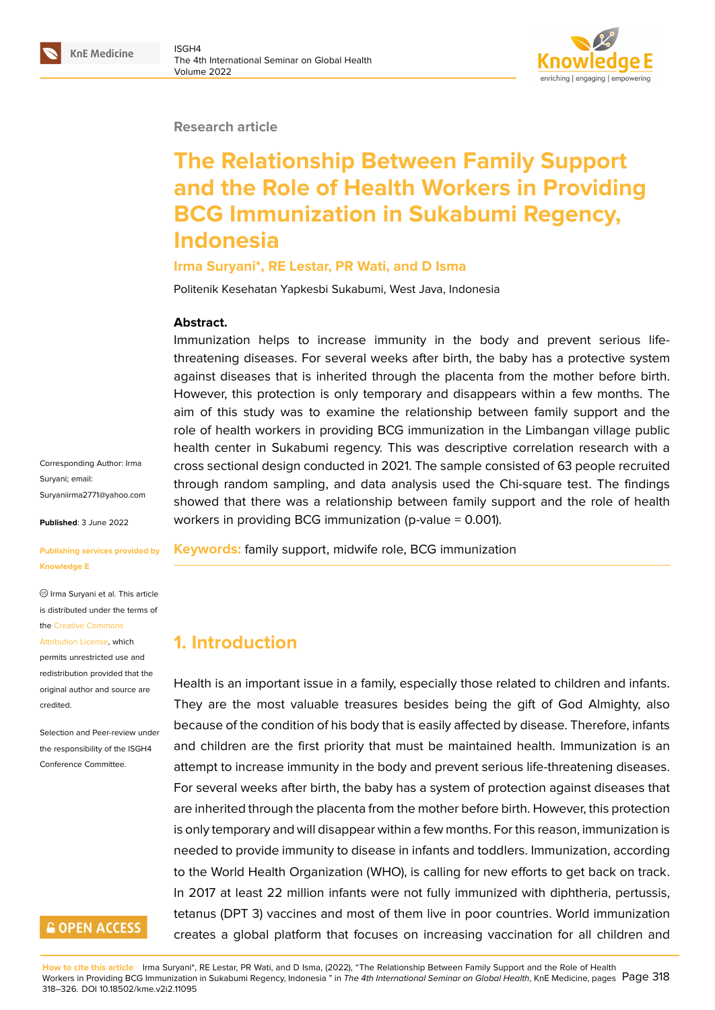#### **Research article**

# **The Relationship Between Family Support and the Role of Health Workers in Providing BCG Immunization in Sukabumi Regency, Indonesia**

#### **Irma Suryani\*, RE Lestar, PR Wati, and D Isma**

Politenik Kesehatan Yapkesbi Sukabumi, West Java, Indonesia

#### **Abstract.**

Immunization helps to increase immunity in the body and prevent serious lifethreatening diseases. For several weeks after birth, the baby has a protective system against diseases that is inherited through the placenta from the mother before birth. However, this protection is only temporary and disappears within a few months. The aim of this study was to examine the relationship between family support and the role of health workers in providing BCG immunization in the Limbangan village public health center in Sukabumi regency. This was descriptive correlation research with a cross sectional design conducted in 2021. The sample consisted of 63 people recruited through random sampling, and data analysis used the Chi-square test. The findings showed that there was a relationship between family support and the role of health workers in providing BCG immunization (p-value  $= 0.001$ ).

**Keywords:** family support, midwife role, BCG immunization

# **1. Introduction**

Health is an important issue in a family, especially those related to children and infants. They are the most valuable treasures besides being the gift of God Almighty, also because of the condition of his body that is easily affected by disease. Therefore, infants and children are the first priority that must be maintained health. Immunization is an attempt to increase immunity in the body and prevent serious life-threatening diseases. For several weeks after birth, the baby has a system of protection against diseases that are inherited through the placenta from the mother before birth. However, this protection is only temporary and will disappear within a few months. For this reason, immunization is needed to provide immunity to disease in infants and toddlers. Immunization, according to the World Health Organization (WHO), is calling for new efforts to get back on track. In 2017 at least 22 million infants were not fully immunized with diphtheria, pertussis, tetanus (DPT 3) vaccines and most of them live in poor countries. World immunization creates a global platform that focuses on increasing vaccination for all children and

**How to cite this article**: Irma Suryani\*, RE Lestar, PR Wati, and D Isma, (2022), "The Relationship Between Family Support and the Role of Health Workers in Providing BCG Immunization in Sukabumi Regency, Indonesia " in *The 4th International Seminar on Global Health*, KnE Medicine, pages Page 318 318–326. DOI 10.18502/kme.v2i2.11095

Corresponding Author: Irma Suryani; email: Suryaniirma2771@yahoo.com

**Published**: 3 June 2022

#### **[Publishing services provided](mailto:Suryaniirma2771@yahoo.com) by Knowledge E**

Irma Suryani et al. This article is distributed under the terms of the Creative Commons

```
Attribution License, which
permits unrestricted use and
redistribution provided that the
original author and source are
credited.
```
Selection and Peer-review under the responsibility of the ISGH4 Conference Committee.

# **GOPEN ACCESS**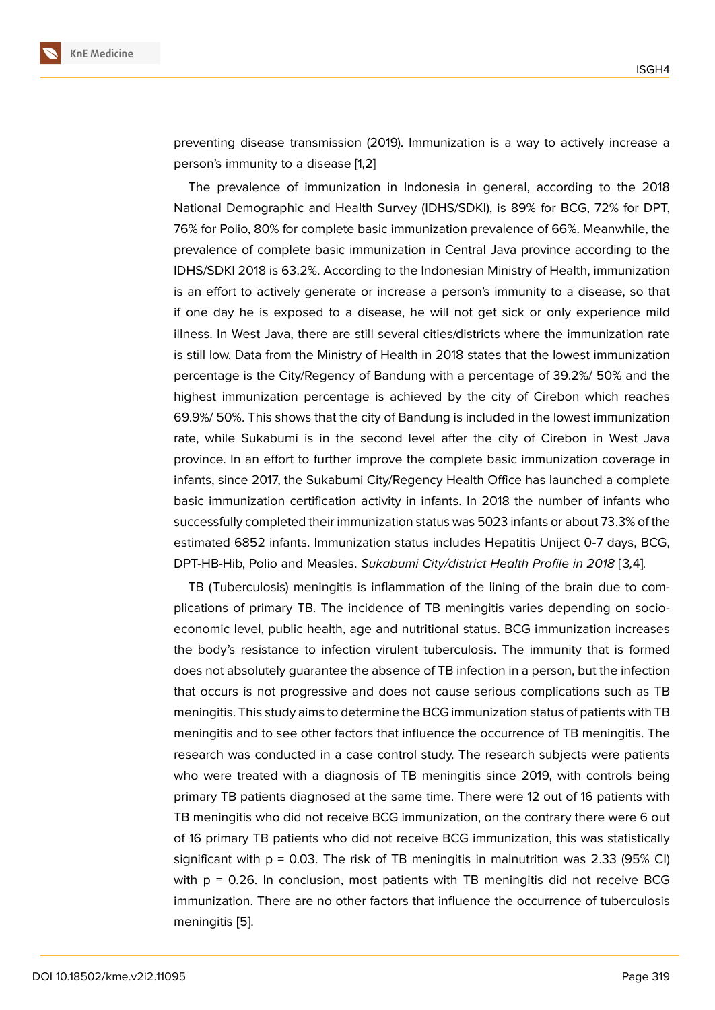preventing disease transmission (2019). Immunization is a way to actively increase a person's immunity to a disease [1,2]

The prevalence of immunization in Indonesia in general, according to the 2018 National Demographic and Health Survey (IDHS/SDKI), is 89% for BCG, 72% for DPT, 76% for Polio, 80% for complete basic immunization prevalence of 66%. Meanwhile, the prevalence of complete basic immunization in Central Java province according to the IDHS/SDKI 2018 is 63.2%. According to the Indonesian Ministry of Health, immunization is an effort to actively generate or increase a person's immunity to a disease, so that if one day he is exposed to a disease, he will not get sick or only experience mild illness. In West Java, there are still several cities/districts where the immunization rate is still low. Data from the Ministry of Health in 2018 states that the lowest immunization percentage is the City/Regency of Bandung with a percentage of 39.2%/ 50% and the highest immunization percentage is achieved by the city of Cirebon which reaches 69.9%/ 50%. This shows that the city of Bandung is included in the lowest immunization rate, while Sukabumi is in the second level after the city of Cirebon in West Java province. In an effort to further improve the complete basic immunization coverage in infants, since 2017, the Sukabumi City/Regency Health Office has launched a complete basic immunization certification activity in infants. In 2018 the number of infants who successfully completed their immunization status was 5023 infants or about 73.3% of the estimated 6852 infants. Immunization status includes Hepatitis Uniject 0-7 days, BCG, DPT-HB-Hib, Polio and Measles. *Sukabumi City/district Health Profile in 2018* [3*,*4]*.*

TB (Tuberculosis) meningitis is inflammation of the lining of the brain due to complications of primary TB. The incidence of TB meningitis varies depending on socioeconomic level, public health, age and nutritional status. BCG immunization increases the body's resistance to infection virulent tuberculosis. The immunity that is formed does not absolutely guarantee the absence of TB infection in a person, but the infection that occurs is not progressive and does not cause serious complications such as TB meningitis. This study aims to determine the BCG immunization status of patients with TB meningitis and to see other factors that influence the occurrence of TB meningitis. The research was conducted in a case control study. The research subjects were patients who were treated with a diagnosis of TB meningitis since 2019, with controls being primary TB patients diagnosed at the same time. There were 12 out of 16 patients with TB meningitis who did not receive BCG immunization, on the contrary there were 6 out of 16 primary TB patients who did not receive BCG immunization, this was statistically significant with  $p = 0.03$ . The risk of TB meningitis in malnutrition was 2.33 (95% CI) with p = 0.26. In conclusion, most patients with TB meningitis did not receive BCG immunization. There are no other factors that influence the occurrence of tuberculosis meningitis [5].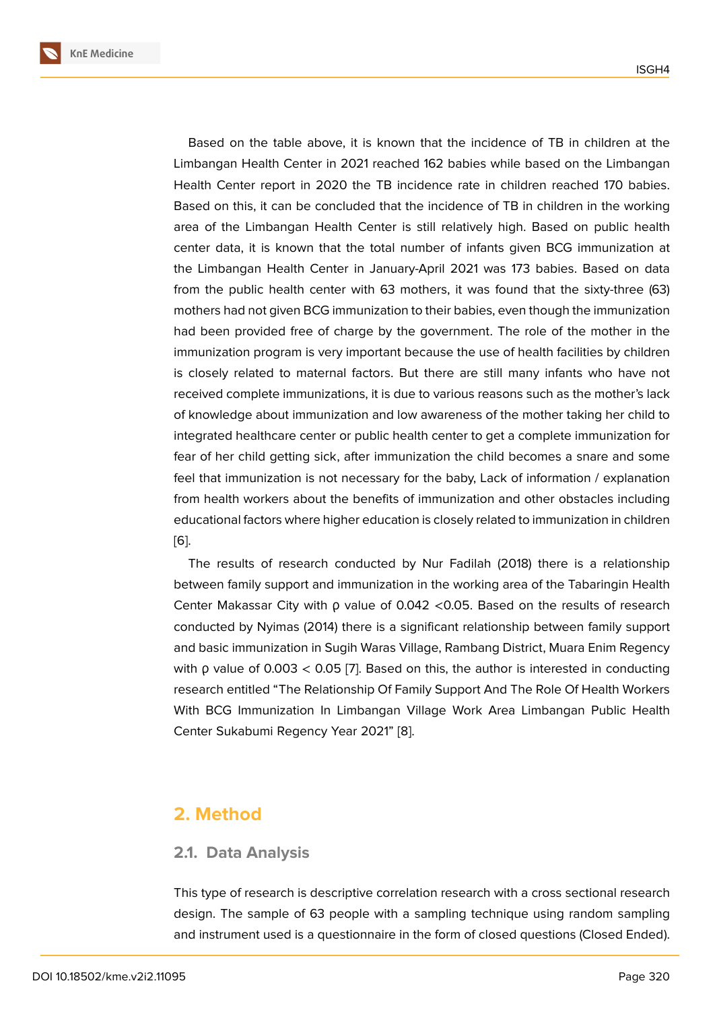Based on the table above, it is known that the incidence of TB in children at the Limbangan Health Center in 2021 reached 162 babies while based on the Limbangan Health Center report in 2020 the TB incidence rate in children reached 170 babies. Based on this, it can be concluded that the incidence of TB in children in the working area of the Limbangan Health Center is still relatively high. Based on public health center data, it is known that the total number of infants given BCG immunization at the Limbangan Health Center in January-April 2021 was 173 babies. Based on data from the public health center with 63 mothers, it was found that the sixty-three (63) mothers had not given BCG immunization to their babies, even though the immunization had been provided free of charge by the government. The role of the mother in the immunization program is very important because the use of health facilities by children is closely related to maternal factors. But there are still many infants who have not received complete immunizations, it is due to various reasons such as the mother's lack of knowledge about immunization and low awareness of the mother taking her child to integrated healthcare center or public health center to get a complete immunization for fear of her child getting sick, after immunization the child becomes a snare and some feel that immunization is not necessary for the baby, Lack of information / explanation from health workers about the benefits of immunization and other obstacles including educational factors where higher education is closely related to immunization in children [6].

The results of research conducted by Nur Fadilah (2018) there is a relationship between family support and immunization in the working area of the Tabaringin Health [Ce](#page-8-0)nter Makassar City with ρ value of 0.042 <0.05. Based on the results of research conducted by Nyimas (2014) there is a significant relationship between family support and basic immunization in Sugih Waras Village, Rambang District, Muara Enim Regency with ρ value of 0.003 < 0.05 [7]. Based on this, the author is interested in conducting research entitled "The Relationship Of Family Support And The Role Of Health Workers With BCG Immunization In Limbangan Village Work Area Limbangan Public Health Center Sukabumi Regency Ye[ar](#page-8-1) 2021" [8].

### **2. Method**

#### **2.1. Data Analysis**

This type of research is descriptive correlation research with a cross sectional research design. The sample of 63 people with a sampling technique using random sampling and instrument used is a questionnaire in the form of closed questions (Closed Ended).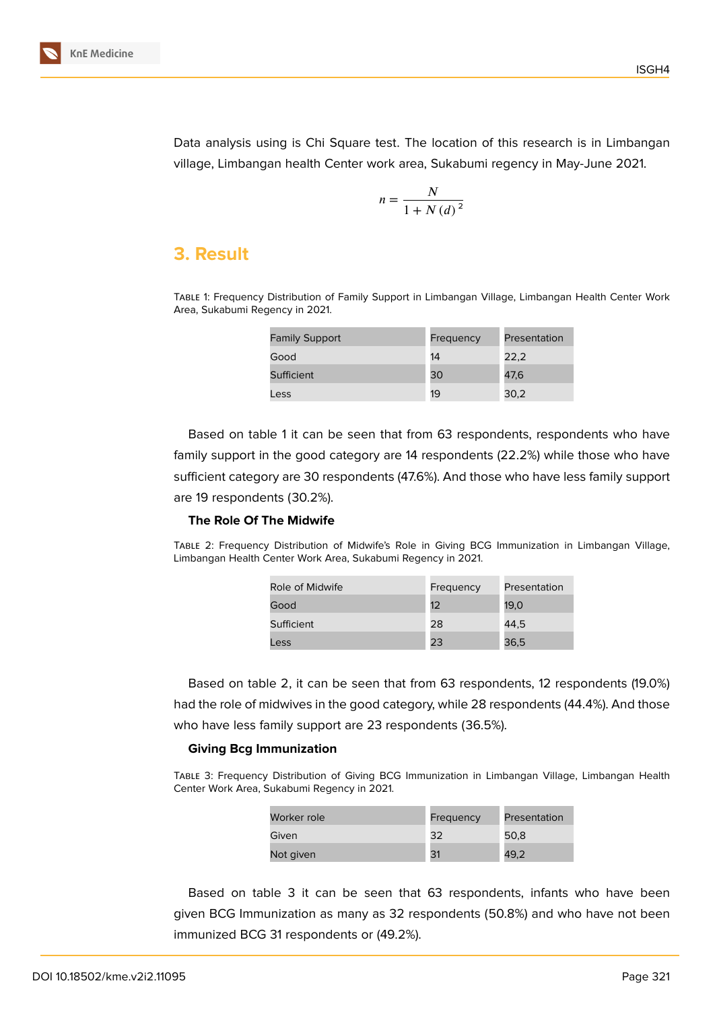

Data analysis using is Chi Square test. The location of this research is in Limbangan village, Limbangan health Center work area, Sukabumi regency in May-June 2021.

$$
n = \frac{N}{1 + N (d)^2}
$$

# **3. Result**

Table 1: Frequency Distribution of Family Support in Limbangan Village, Limbangan Health Center Work Area, Sukabumi Regency in 2021.

| <b>Family Support</b> | Frequency | Presentation |
|-----------------------|-----------|--------------|
| Good                  | 14        | 22.2         |
| Sufficient            | 30        | 47.6         |
| Less                  | 19        | 30,2         |

Based on table 1 it can be seen that from 63 respondents, respondents who have family support in the good category are 14 respondents (22.2%) while those who have sufficient category are 30 respondents (47.6%). And those who have less family support are 19 respondents (30.2%).

#### **The Role Of The Midwife**

Table 2: Frequency Distribution of Midwife's Role in Giving BCG Immunization in Limbangan Village, Limbangan Health Center Work Area, Sukabumi Regency in 2021.

| Role of Midwife | Frequency | Presentation |
|-----------------|-----------|--------------|
| Good            | 12        | 19,0         |
| Sufficient      | 28        | 44.5         |
| Less            | 23        | 36,5         |

Based on table 2, it can be seen that from 63 respondents, 12 respondents (19.0%) had the role of midwives in the good category, while 28 respondents (44.4%). And those who have less family support are 23 respondents (36.5%).

#### **Giving Bcg Immunization**

Table 3: Frequency Distribution of Giving BCG Immunization in Limbangan Village, Limbangan Health Center Work Area, Sukabumi Regency in 2021.

| Worker role | Frequency | Presentation |  |
|-------------|-----------|--------------|--|
| Given       | 32        | 50.8         |  |
| Not given   | 31        | 49,2         |  |

Based on table 3 it can be seen that 63 respondents, infants who have been given BCG Immunization as many as 32 respondents (50.8%) and who have not been immunized BCG 31 respondents or (49.2%).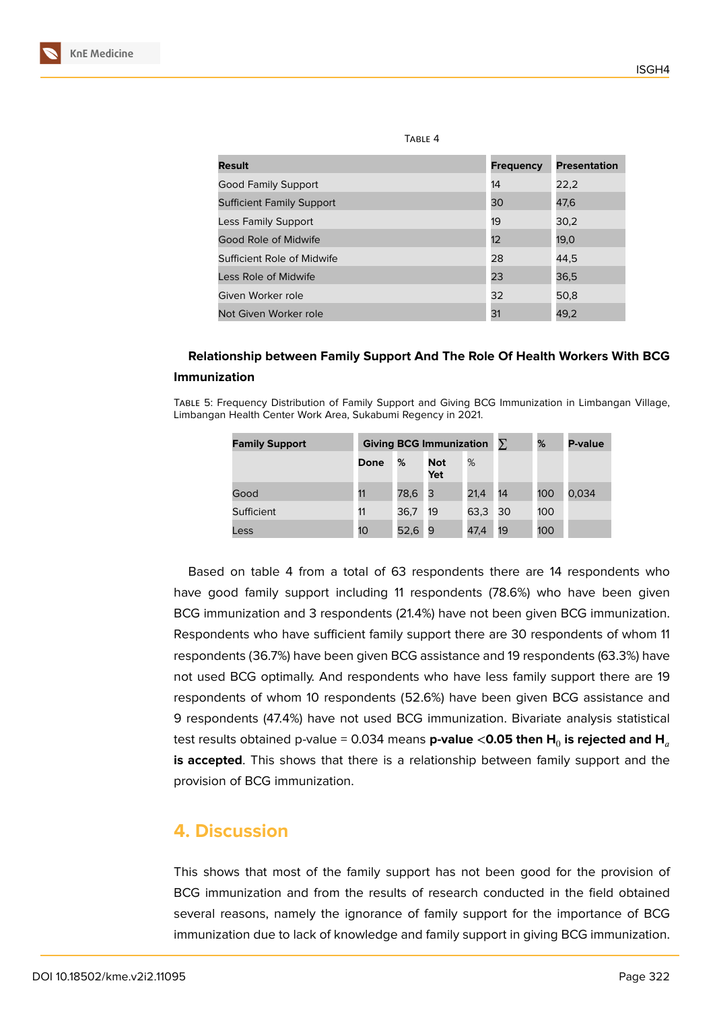| TABLE 4                          |                  |                     |  |  |
|----------------------------------|------------------|---------------------|--|--|
| Result                           | <b>Frequency</b> | <b>Presentation</b> |  |  |
| <b>Good Family Support</b>       | 14               | 22,2                |  |  |
| <b>Sufficient Family Support</b> | 30               | 47,6                |  |  |
| Less Family Support              | 19               | 30,2                |  |  |
| Good Role of Midwife             | 12               | 19,0                |  |  |
| Sufficient Role of Midwife       | 28               | 44,5                |  |  |
| Less Role of Midwife             | 23               | 36,5                |  |  |
| Given Worker role                | 32               | 50,8                |  |  |
| Not Given Worker role            | 31               | 49,2                |  |  |

### **Relationship between Family Support And The Role Of Health Workers With BCG Immunization**

Table 5: Frequency Distribution of Family Support and Giving BCG Immunization in Limbangan Village, Limbangan Health Center Work Area, Sukabumi Regency in 2021.

| <b>Family Support</b> | Giving BCG Immunization $\Sigma$ |      |                   |      | %  | P-value |       |
|-----------------------|----------------------------------|------|-------------------|------|----|---------|-------|
|                       | Done                             | %    | <b>Not</b><br>Yet | %    |    |         |       |
| Good                  | 11                               | 78,6 | 3                 | 21,4 | 14 | 100     | 0,034 |
| Sufficient            | 11                               | 36,7 | 19                | 63,3 | 30 | 100     |       |
| Less                  | 10 <sup>°</sup>                  | 52,6 | 9                 | 47,4 | 19 | 100     |       |

Based on table 4 from a total of 63 respondents there are 14 respondents who have good family support including 11 respondents (78.6%) who have been given BCG immunization and 3 respondents (21.4%) have not been given BCG immunization. Respondents who have sufficient family support there are 30 respondents of whom 11 respondents (36.7%) have been given BCG assistance and 19 respondents (63.3%) have not used BCG optimally. And respondents who have less family support there are 19 respondents of whom 10 respondents (52.6%) have been given BCG assistance and 9 respondents (47.4%) have not used BCG immunization. Bivariate analysis statistical **t**est results obtained p-value = 0.034 means **p-value <0.05 then H** $_{\scriptscriptstyle{0}}$  **is rejected and <b>H** $_{\scriptscriptstyle{a}}$ **is accepted**. This shows that there is a relationship between family support and the provision of BCG immunization.

# **4. Discussion**

This shows that most of the family support has not been good for the provision of BCG immunization and from the results of research conducted in the field obtained several reasons, namely the ignorance of family support for the importance of BCG immunization due to lack of knowledge and family support in giving BCG immunization.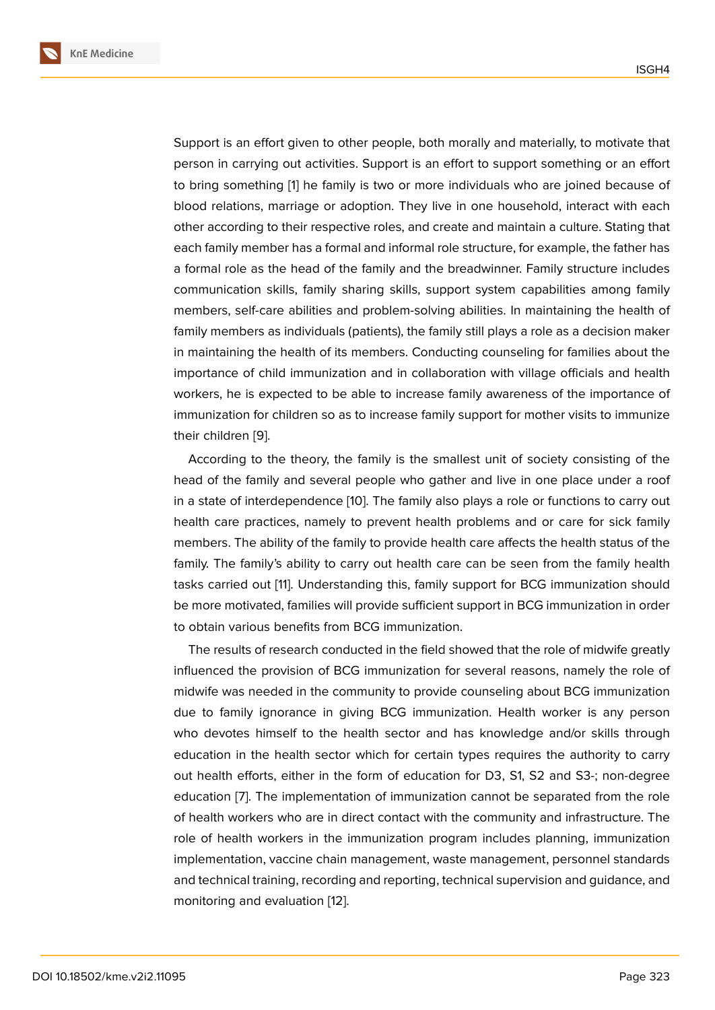Support is an effort given to other people, both morally and materially, to motivate that person in carrying out activities. Support is an effort to support something or an effort to bring something [1] he family is two or more individuals who are joined because of blood relations, marriage or adoption. They live in one household, interact with each other according to their respective roles, and create and maintain a culture. Stating that each family member [h](#page-7-0)as a formal and informal role structure, for example, the father has a formal role as the head of the family and the breadwinner. Family structure includes communication skills, family sharing skills, support system capabilities among family members, self-care abilities and problem-solving abilities. In maintaining the health of family members as individuals (patients), the family still plays a role as a decision maker in maintaining the health of its members. Conducting counseling for families about the importance of child immunization and in collaboration with village officials and health workers, he is expected to be able to increase family awareness of the importance of immunization for children so as to increase family support for mother visits to immunize their children [9].

According to the theory, the family is the smallest unit of society consisting of the head of the family and several people who gather and live in one place under a roof in a state of in[te](#page-8-2)rdependence [10]. The family also plays a role or functions to carry out health care practices, namely to prevent health problems and or care for sick family members. The ability of the family to provide health care affects the health status of the family. The family's ability to c[arr](#page-8-3)y out health care can be seen from the family health tasks carried out [11]. Understanding this, family support for BCG immunization should be more motivated, families will provide sufficient support in BCG immunization in order to obtain various benefits from BCG immunization.

The results of r[ese](#page-8-4)arch conducted in the field showed that the role of midwife greatly influenced the provision of BCG immunization for several reasons, namely the role of midwife was needed in the community to provide counseling about BCG immunization due to family ignorance in giving BCG immunization. Health worker is any person who devotes himself to the health sector and has knowledge and/or skills through education in the health sector which for certain types requires the authority to carry out health efforts, either in the form of education for D3, S1, S2 and S3-; non-degree education [7]. The implementation of immunization cannot be separated from the role of health workers who are in direct contact with the community and infrastructure. The role of health workers in the immunization program includes planning, immunization implement[at](#page-8-1)ion, vaccine chain management, waste management, personnel standards and technical training, recording and reporting, technical supervision and guidance, and monitoring and evaluation [12].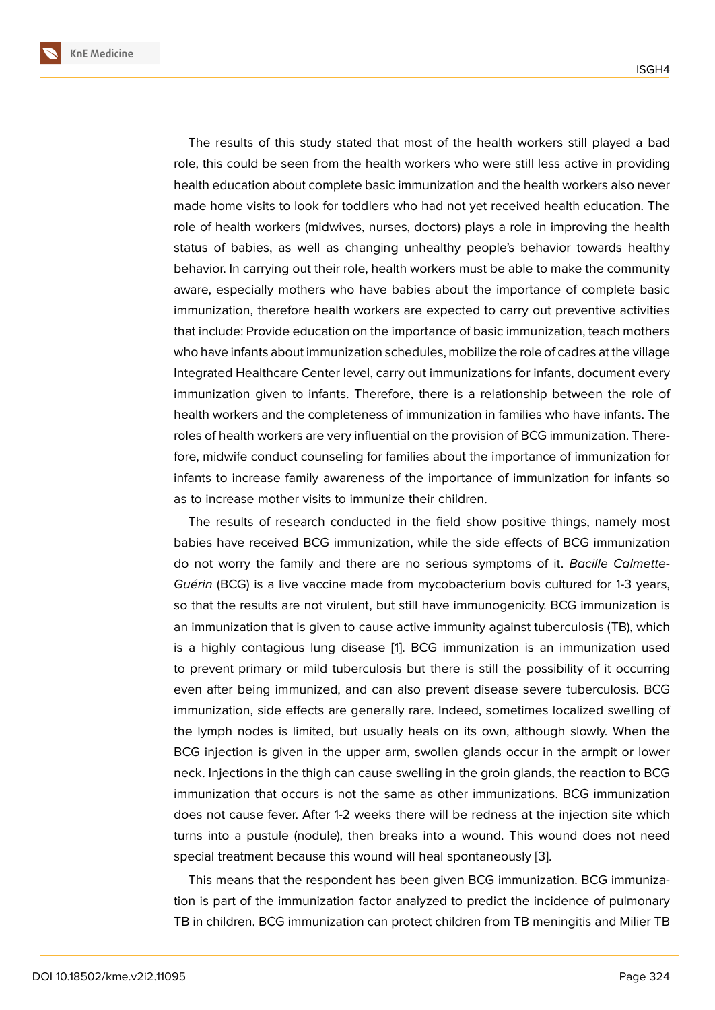The results of this study stated that most of the health workers still played a bad role, this could be seen from the health workers who were still less active in providing health education about complete basic immunization and the health workers also never made home visits to look for toddlers who had not yet received health education. The role of health workers (midwives, nurses, doctors) plays a role in improving the health status of babies, as well as changing unhealthy people's behavior towards healthy behavior. In carrying out their role, health workers must be able to make the community aware, especially mothers who have babies about the importance of complete basic immunization, therefore health workers are expected to carry out preventive activities that include: Provide education on the importance of basic immunization, teach mothers who have infants about immunization schedules, mobilize the role of cadres at the village Integrated Healthcare Center level, carry out immunizations for infants, document every immunization given to infants. Therefore, there is a relationship between the role of health workers and the completeness of immunization in families who have infants. The roles of health workers are very influential on the provision of BCG immunization. Therefore, midwife conduct counseling for families about the importance of immunization for infants to increase family awareness of the importance of immunization for infants so as to increase mother visits to immunize their children.

The results of research conducted in the field show positive things, namely most babies have received BCG immunization, while the side effects of BCG immunization do not worry the family and there are no serious symptoms of it. *Bacille Calmette-Guérin* (BCG) is a live vaccine made from mycobacterium bovis cultured for 1-3 years, so that the results are not virulent, but still have immunogenicity. BCG immunization is an immunization that is given to cause active immunity against tuberculosis (TB), which is a highly contagious lung disease [1]. BCG immunization is an immunization used to prevent primary or mild tuberculosis but there is still the possibility of it occurring even after being immunized, and can also prevent disease severe tuberculosis. BCG immunization, side effects are genera[lly](#page-7-0) rare. Indeed, sometimes localized swelling of the lymph nodes is limited, but usually heals on its own, although slowly. When the BCG injection is given in the upper arm, swollen glands occur in the armpit or lower neck. Injections in the thigh can cause swelling in the groin glands, the reaction to BCG immunization that occurs is not the same as other immunizations. BCG immunization does not cause fever. After 1-2 weeks there will be redness at the injection site which turns into a pustule (nodule), then breaks into a wound. This wound does not need special treatment because this wound will heal spontaneously [3].

This means that the respondent has been given BCG immunization. BCG immunization is part of the immunization factor analyzed to predict the incidence of pulmonary TB in children. BCG immunization can protect children from TB [me](#page-8-5)ningitis and Milier TB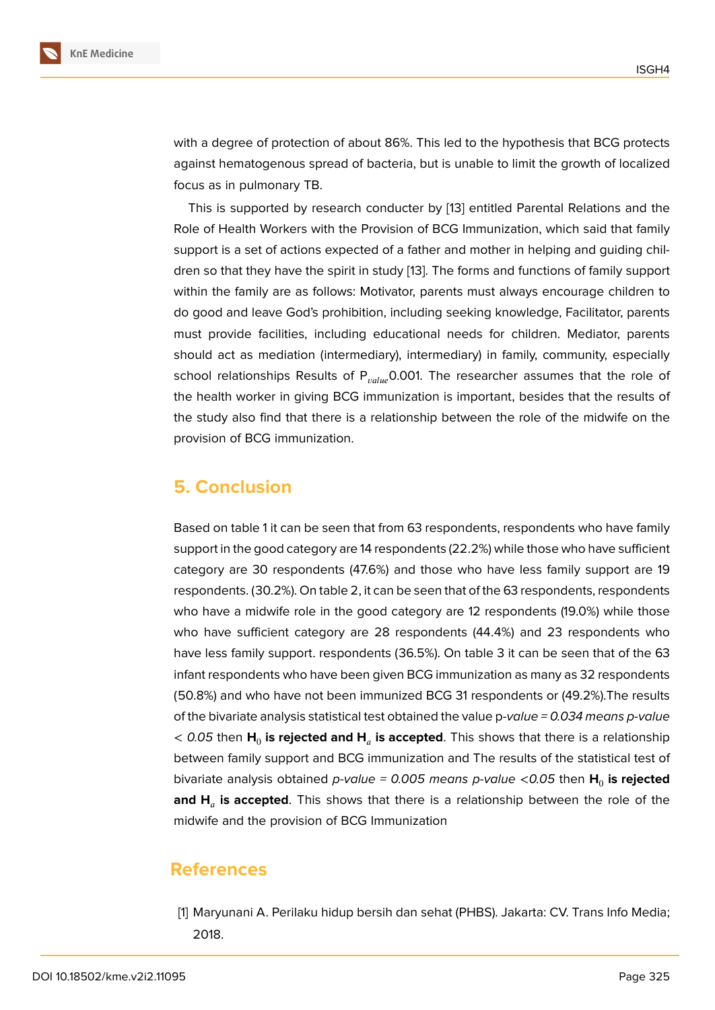with a degree of protection of about 86%. This led to the hypothesis that BCG protects against hematogenous spread of bacteria, but is unable to limit the growth of localized focus as in pulmonary TB.

This is supported by research conducter by [13] entitled Parental Relations and the Role of Health Workers with the Provision of BCG Immunization, which said that family support is a set of actions expected of a father and mother in helping and guiding children so that they have the spirit in study [13]. Th[e fo](#page-8-6)rms and functions of family support within the family are as follows: Motivator, parents must always encourage children to do good and leave God's prohibition, including seeking knowledge, Facilitator, parents must provide facilities, including educa[tio](#page-8-6)nal needs for children. Mediator, parents should act as mediation (intermediary), intermediary) in family, community, especially school relationships Results of  $P_{value}$ 0.001. The researcher assumes that the role of the health worker in giving BCG immunization is important, besides that the results of the study also find that there is a relationship between the role of the midwife on the provision of BCG immunization.

### **5. Conclusion**

Based on table 1 it can be seen that from 63 respondents, respondents who have family support in the good category are 14 respondents (22.2%) while those who have sufficient category are 30 respondents (47.6%) and those who have less family support are 19 respondents. (30.2%). On table 2, it can be seen that of the 63 respondents, respondents who have a midwife role in the good category are 12 respondents (19.0%) while those who have sufficient category are 28 respondents (44.4%) and 23 respondents who have less family support. respondents (36.5%). On table 3 it can be seen that of the 63 infant respondents who have been given BCG immunization as many as 32 respondents (50.8%) and who have not been immunized BCG 31 respondents or (49.2%).The results of the bivariate analysis statistical test obtained the value p*-value = 0.034 means p-value*  $<$  0.05 then  $\mathsf{H}_{0}$  **is rejected and**  $\mathsf{H}_{a}$  **<b>is accepted**. This shows that there is a relationship between family support and BCG immunization and The results of the statistical test of bivariate analysis obtained *p-value = 0.005 means p-value <0.05* then  $\boldsymbol{\mathsf{H}}_0$  **is rejected and H is accepted**. This shows that there is a relationship between the role of the midwife and the provision of BCG Immunization

### **References**

<span id="page-7-0"></span>[1] Maryunani A. Perilaku hidup bersih dan sehat (PHBS). Jakarta: CV. Trans Info Media; 2018.